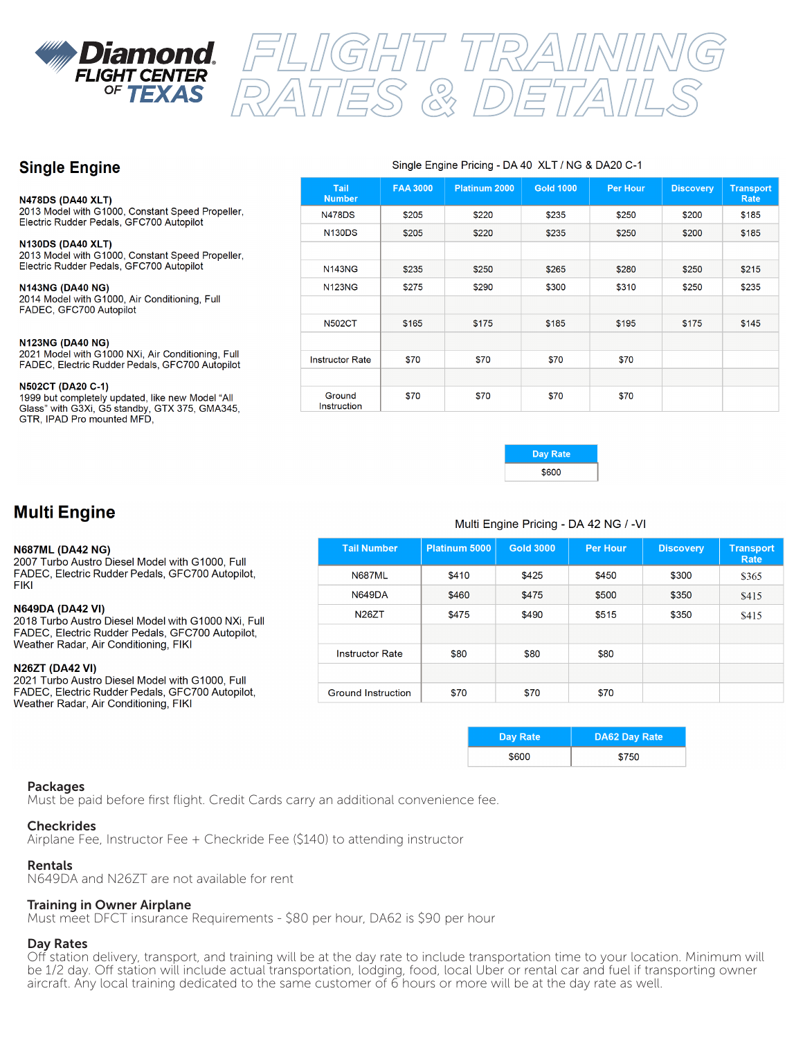

# *FLIGHT TRAINING RATES & DETAILS*

# **Single Engine**

#### **N478DS (DA40 XLT)**

2013 Model with G1000, Constant Speed Propeller, Electric Rudder Pedals, GFC700 Autopilot

## **N130DS (DA40 XLT)**

2013 Model with G1000, Constant Speed Propeller, Electric Rudder Pedals, GFC700 Autopilot

**N143NG (DA40 NG)** 2014 Model with G1000, Air Conditioning, Full FADEC, GFC700 Autopilot

#### **N123NG (DA40 NG)**

2021 Model with G1000 NXi, Air Conditioning, Full FADEC, Electric Rudder Pedals, GFC700 Autopilot

#### N502CT (DA20 C-1)

1999 but completely updated, like new Model "All Glass" with G3Xi, G5 standby, GTX 375, GMA345, GTR, IPAD Pro mounted MFD,

#### Single Engine Pricing - DA 40 XLT / NG & DA20 C-1

| <b>Tail</b><br><b>Number</b> | <b>FAA 3000</b> | <b>Platinum 2000</b> | <b>Gold 1000</b> | <b>Per Hour</b> | <b>Discovery</b> | <b>Transport</b><br>Rate |
|------------------------------|-----------------|----------------------|------------------|-----------------|------------------|--------------------------|
| <b>N478DS</b>                | \$205           | \$220                | \$235            | \$250           | \$200            | \$185                    |
| <b>N130DS</b>                | \$205           | \$220                | \$235            | \$250           | \$200            | \$185                    |
|                              |                 |                      |                  |                 |                  |                          |
| <b>N143NG</b>                | \$235           | \$250                | \$265            | \$280           | \$250            | \$215                    |
| <b>N123NG</b>                | \$275           | \$290                | \$300            | \$310           | \$250            | \$235                    |
|                              |                 |                      |                  |                 |                  |                          |
| <b>N502CT</b>                | \$165           | \$175                | \$185            | \$195           | \$175            | \$145                    |
|                              |                 |                      |                  |                 |                  |                          |
| <b>Instructor Rate</b>       | \$70            | \$70                 | \$70             | \$70            |                  |                          |
|                              |                 |                      |                  |                 |                  |                          |
| Ground<br>Instruction        | \$70            | \$70                 | \$70             | \$70            |                  |                          |



# **Multi Engine**

#### **N687ML (DA42 NG)**

2007 Turbo Austro Diesel Model with G1000, Full FADEC, Electric Rudder Pedals, GFC700 Autopilot, **FIKI** 

#### **N649DA (DA42 VI)**

2018 Turbo Austro Diesel Model with G1000 NXi, Full FADEC, Electric Rudder Pedals, GFC700 Autopilot, Weather Radar, Air Conditioning, FIKI

#### **N26ZT (DA42 VI)**

2021 Turbo Austro Diesel Model with G1000, Full FADEC, Electric Rudder Pedals, GFC700 Autopilot, Weather Radar, Air Conditioning, FIKI

## Multi Engine Pricing - DA 42 NG / -VI

| <b>Tail Number</b>        | Platinum 5000 | <b>Gold 3000</b> | <b>Per Hour</b> | <b>Discovery</b> | <b>Transport</b><br>Rate |
|---------------------------|---------------|------------------|-----------------|------------------|--------------------------|
| <b>N687ML</b>             | \$410         | \$425            | \$450           | \$300            | \$365                    |
| <b>N649DA</b>             | \$460         | \$475            | \$500           | \$350            | \$415                    |
| N <sub>26</sub> ZT        | \$475         | \$490            | \$515           | \$350            | \$415                    |
|                           |               |                  |                 |                  |                          |
| <b>Instructor Rate</b>    | \$80          | \$80             | \$80            |                  |                          |
|                           |               |                  |                 |                  |                          |
| <b>Ground Instruction</b> | \$70          | \$70             | \$70            |                  |                          |

| <b>Day Rate</b> | <b>DA62 Day Rate</b> |
|-----------------|----------------------|
| \$600           | \$750                |

## Packages

Must be paid before first flight. Credit Cards carry an additional convenience fee.

## **Checkrides**

Airplane Fee, Instructor Fee + Checkride Fee (\$140) to attending instructor

## Rentals

N649DA and N26ZT are not available for rent

## Training in Owner Airplane

Must meet DFCT insurance Requirements - \$80 per hour, DA62 is \$90 per hour

## Day Rates

Off station delivery, transport, and training will be at the day rate to include transportation time to your location. Minimum will be 1/2 day. Off station will include actual transportation, lodging, food, local Uber or rental car and fuel if transporting owner aircraft. Any local training dedicated to the same customer of 6 hours or more will be at the day rate as well.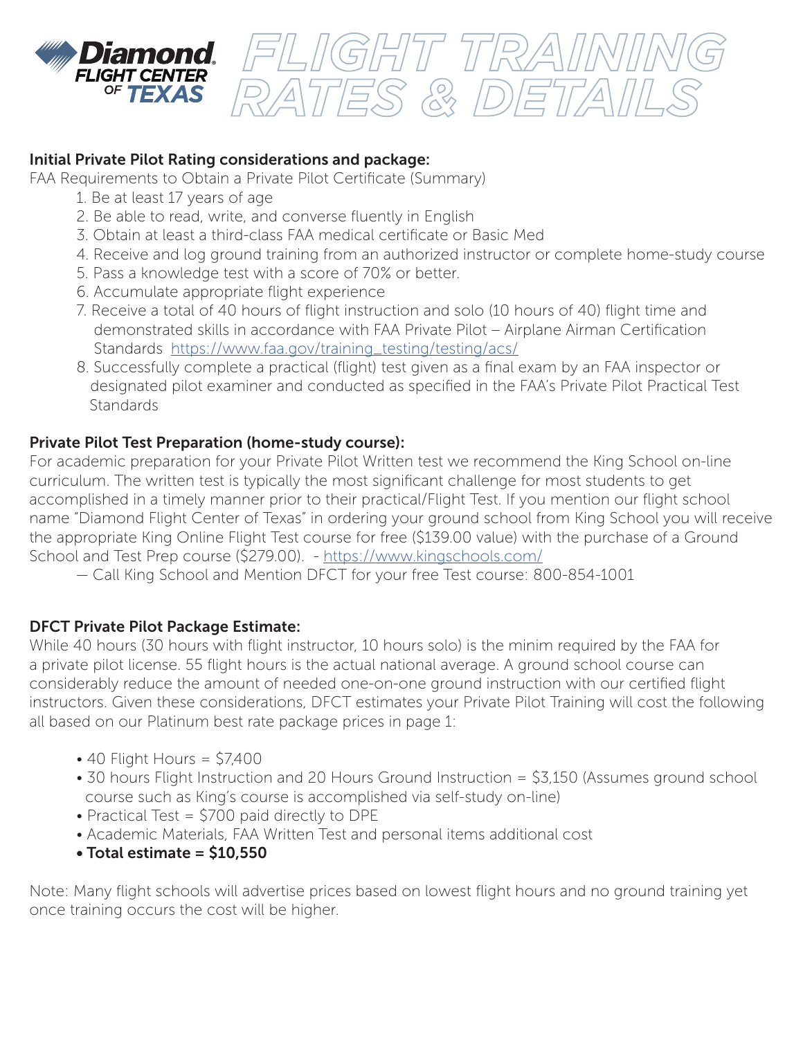

# Initial Private Pilot Rating considerations and package:

FAA Requirements to Obtain a Private Pilot Certificate (Summary)

- 1. Be at least 17 years of age
- 2. Be able to read, write, and converse fluently in English
- 3. Obtain at least a third-class FAA medical certificate or Basic Med
- 4. Receive and log ground training from an authorized instructor or complete home-study course

*FLIGHT TRAINING*

*RATES & DETAILS*

- 5. Pass a knowledge test with a score of 70% or better.
- 6. Accumulate appropriate flight experience
- 7. Receive a total of 40 hours of flight instruction and solo (10 hours of 40) flight time and demonstrated skills in accordance with FAA Private Pilot – Airplane Airman Certification Standards https://www.faa.gov/training\_testing/testing/acs/
- 8. Successfully complete a practical (flight) test given as a final exam by an FAA inspector or designated pilot examiner and conducted as specified in the FAA's Private Pilot Practical Test **Standards**

# Private Pilot Test Preparation (home-study course):

For academic preparation for your Private Pilot Written test we recommend the King School on-line curriculum. The written test is typically the most significant challenge for most students to get accomplished in a timely manner prior to their practical/Flight Test. If you mention our flight school name "Diamond Flight Center of Texas" in ordering your ground school from King School you will receive the appropriate King Online Flight Test course for free (\$139.00 value) with the purchase of a Ground School and Test Prep course (\$279.00). - https://www.kingschools.com/

— Call King School and Mention DFCT for your free Test course: 800-854-1001

## DFCT Private Pilot Package Estimate:

While 40 hours (30 hours with flight instructor, 10 hours solo) is the minim required by the FAA for a private pilot license. 55 flight hours is the actual national average. A ground school course can considerably reduce the amount of needed one-on-one ground instruction with our certified flight instructors. Given these considerations, DFCT estimates your Private Pilot Training will cost the following all based on our Platinum best rate package prices in page 1:

- $\cdot$  40 Flight Hours = \$7,400
- 30 hours Flight Instruction and 20 Hours Ground Instruction = \$3,150 (Assumes ground school course such as King's course is accomplished via self-study on-line)
- Practical Test = \$700 paid directly to DPE
- Academic Materials, FAA Written Test and personal items additional cost

# • Total estimate = \$10,550

Note: Many flight schools will advertise prices based on lowest flight hours and no ground training yet once training occurs the cost will be higher.